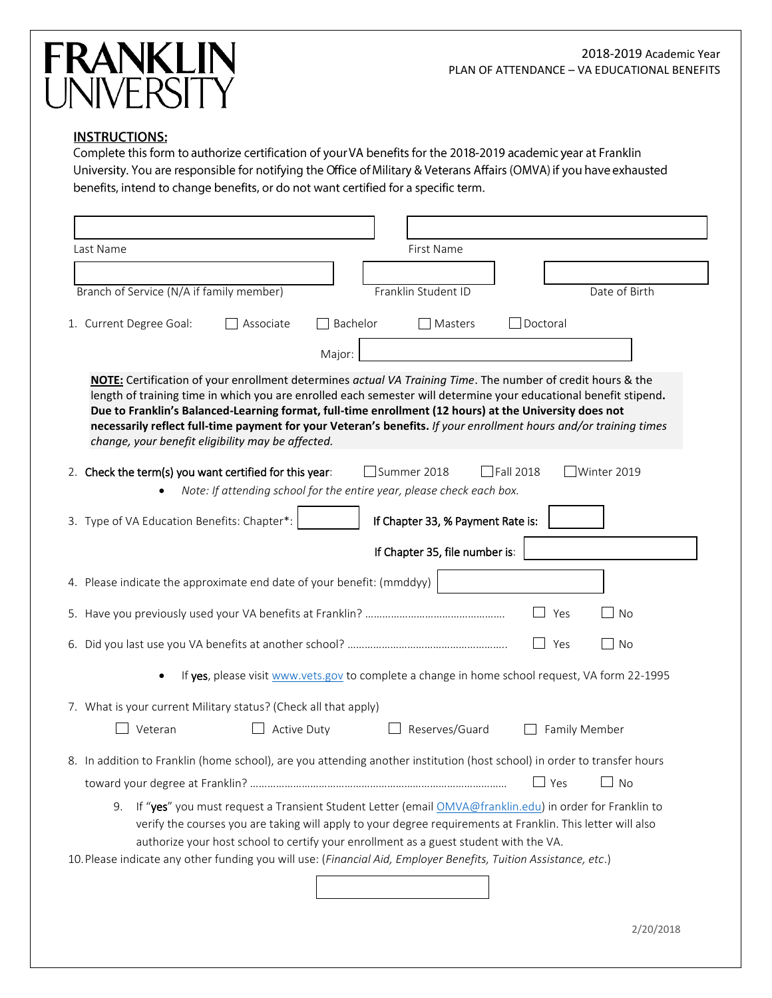# **FRANKLIN**<br>UNIVERSITY

# **INSTRUCTIONS:**

Complete this form to authorize certification of your VA benefits for the 2018-2019 academic year at Franklin University. You are responsible for notifying the Office of Military & Veterans Affairs (OMVA) if you have exhausted benefits, intend to change benefits, or do not want certified for a specific term.

| Last Name<br>First Name                                                                                                                                                                                                                                                                                                                                                                                                                                                                                             |
|---------------------------------------------------------------------------------------------------------------------------------------------------------------------------------------------------------------------------------------------------------------------------------------------------------------------------------------------------------------------------------------------------------------------------------------------------------------------------------------------------------------------|
|                                                                                                                                                                                                                                                                                                                                                                                                                                                                                                                     |
| Branch of Service (N/A if family member)<br>Franklin Student ID<br>Date of Birth                                                                                                                                                                                                                                                                                                                                                                                                                                    |
|                                                                                                                                                                                                                                                                                                                                                                                                                                                                                                                     |
| Doctoral<br>Bachelor<br>1. Current Degree Goal:<br>Associate<br>Masters                                                                                                                                                                                                                                                                                                                                                                                                                                             |
| Major:                                                                                                                                                                                                                                                                                                                                                                                                                                                                                                              |
| NOTE: Certification of your enrollment determines actual VA Training Time. The number of credit hours & the<br>length of training time in which you are enrolled each semester will determine your educational benefit stipend.<br>Due to Franklin's Balanced-Learning format, full-time enrollment (12 hours) at the University does not<br>necessarily reflect full-time payment for your Veteran's benefits. If your enrollment hours and/or training times<br>change, your benefit eligibility may be affected. |
| $\Box$ Fall 2018<br>$\exists$ Winter 2019<br>2. Check the term(s) you want certified for this year:<br>Summer 2018                                                                                                                                                                                                                                                                                                                                                                                                  |
| Note: If attending school for the entire year, please check each box.                                                                                                                                                                                                                                                                                                                                                                                                                                               |
| 3. Type of VA Education Benefits: Chapter*:<br>If Chapter 33, % Payment Rate is:                                                                                                                                                                                                                                                                                                                                                                                                                                    |
| If Chapter 35, file number is:                                                                                                                                                                                                                                                                                                                                                                                                                                                                                      |
| 4. Please indicate the approximate end date of your benefit: (mmddyy)                                                                                                                                                                                                                                                                                                                                                                                                                                               |
| <b>No</b><br>Yes                                                                                                                                                                                                                                                                                                                                                                                                                                                                                                    |
| <b>No</b><br>Yes                                                                                                                                                                                                                                                                                                                                                                                                                                                                                                    |
| If yes, please visit www.vets.gov to complete a change in home school request, VA form 22-1995                                                                                                                                                                                                                                                                                                                                                                                                                      |
| 7. What is your current Military status? (Check all that apply)                                                                                                                                                                                                                                                                                                                                                                                                                                                     |
| Reserves/Guard<br>Veteran<br>Active Duty<br>Family Member                                                                                                                                                                                                                                                                                                                                                                                                                                                           |
| 8. In addition to Franklin (home school), are you attending another institution (host school) in order to transfer hours                                                                                                                                                                                                                                                                                                                                                                                            |
| Yes<br>No                                                                                                                                                                                                                                                                                                                                                                                                                                                                                                           |
| If "yes" you must request a Transient Student Letter (email OMVA@franklin.edu) in order for Franklin to<br>9.<br>verify the courses you are taking will apply to your degree requirements at Franklin. This letter will also<br>authorize your host school to certify your enrollment as a guest student with the VA.<br>10. Please indicate any other funding you will use: (Financial Aid, Employer Benefits, Tuition Assistance, etc.)                                                                           |
|                                                                                                                                                                                                                                                                                                                                                                                                                                                                                                                     |
| 2/20/2018                                                                                                                                                                                                                                                                                                                                                                                                                                                                                                           |